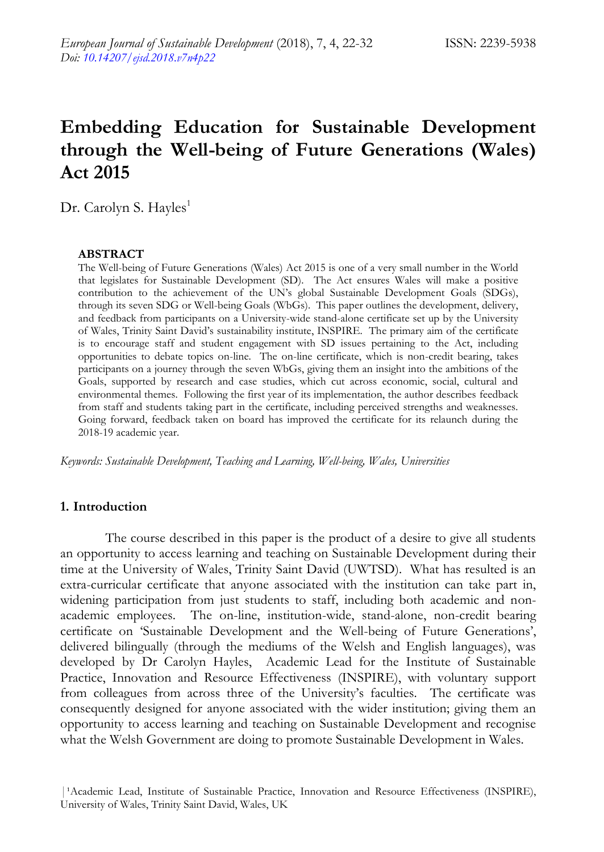# **Embedding Education for Sustainable Development through the Well-being of Future Generations (Wales) Act 2015**

Dr. Carolyn S. Hayles<sup>1</sup>

#### **ABSTRACT**

The Well-being of Future Generations (Wales) Act 2015 is one of a very small number in the World that legislates for Sustainable Development (SD). The Act ensures Wales will make a positive contribution to the achievement of the UN"s global Sustainable Development Goals (SDGs), through its seven SDG or Well-being Goals (WbGs). This paper outlines the development, delivery, and feedback from participants on a University-wide stand-alone certificate set up by the University of Wales, Trinity Saint David"s sustainability institute, INSPIRE. The primary aim of the certificate is to encourage staff and student engagement with SD issues pertaining to the Act, including opportunities to debate topics on-line. The on-line certificate, which is non-credit bearing, takes participants on a journey through the seven WbGs, giving them an insight into the ambitions of the Goals, supported by research and case studies, which cut across economic, social, cultural and environmental themes. Following the first year of its implementation, the author describes feedback from staff and students taking part in the certificate, including perceived strengths and weaknesses. Going forward, feedback taken on board has improved the certificate for its relaunch during the 2018-19 academic year.

*Keywords: Sustainable Development, Teaching and Learning, Well-being, Wales, Universities*

## **1. Introduction**

The course described in this paper is the product of a desire to give all students an opportunity to access learning and teaching on Sustainable Development during their time at the University of Wales, Trinity Saint David (UWTSD). What has resulted is an extra-curricular certificate that anyone associated with the institution can take part in, widening participation from just students to staff, including both academic and nonacademic employees. The on-line, institution-wide, stand-alone, non-credit bearing certificate on "Sustainable Development and the Well-being of Future Generations", delivered bilingually (through the mediums of the Welsh and English languages), was developed by Dr Carolyn Hayles, Academic Lead for the Institute of Sustainable Practice, Innovation and Resource Effectiveness (INSPIRE), with voluntary support from colleagues from across three of the University's faculties. The certificate was consequently designed for anyone associated with the wider institution; giving them an opportunity to access learning and teaching on Sustainable Development and recognise what the Welsh Government are doing to promote Sustainable Development in Wales.

<sup>|&</sup>lt;sup>1</sup>Academic Lead, Institute of Sustainable Practice, Innovation and Resource Effectiveness (INSPIRE), University of Wales, Trinity Saint David, Wales, UK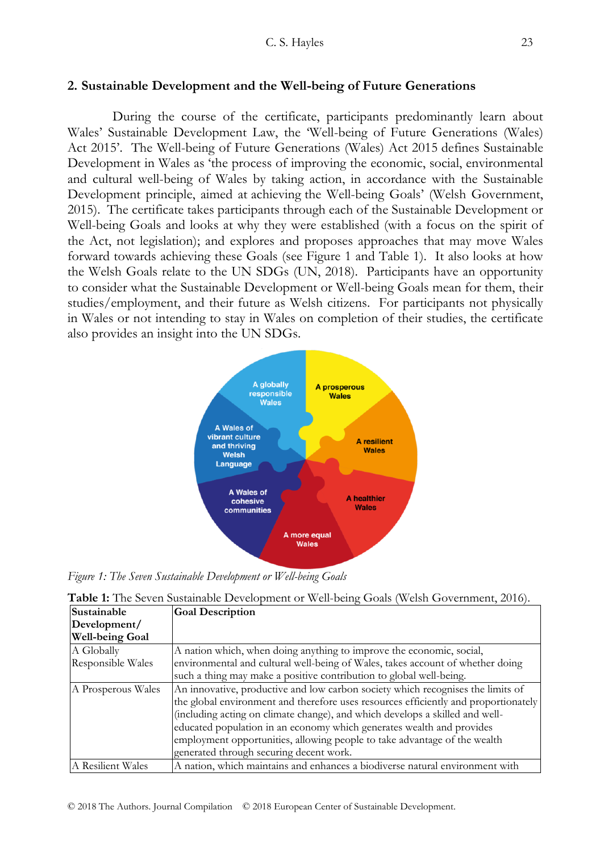## **2. Sustainable Development and the Well-being of Future Generations**

During the course of the certificate, participants predominantly learn about Wales" Sustainable Development Law, the "Well-being of Future Generations (Wales) Act 2015'. The Well-being of Future Generations (Wales) Act 2015 defines Sustainable Development in Wales as "the process of improving the economic, social, environmental and cultural well-being of Wales by taking action, in accordance with the Sustainable Development principle, aimed at achieving the Well-being Goals" (Welsh Government, 2015). The certificate takes participants through each of the Sustainable Development or Well-being Goals and looks at why they were established (with a focus on the spirit of the Act, not legislation); and explores and proposes approaches that may move Wales forward towards achieving these Goals (see Figure 1 and Table 1). It also looks at how the Welsh Goals relate to the UN SDGs (UN, 2018). Participants have an opportunity to consider what the Sustainable Development or Well-being Goals mean for them, their studies/employment, and their future as Welsh citizens. For participants not physically in Wales or not intending to stay in Wales on completion of their studies, the certificate also provides an insight into the UN SDGs.



*Figure 1: The Seven Sustainable Development or Well-being Goals*

| Table 1: The Seven Sustainable Development or Well-being Goals (Welsh Government, 2016). |  |  |
|------------------------------------------------------------------------------------------|--|--|
|------------------------------------------------------------------------------------------|--|--|

| Sustainable            | <b>Goal Description</b>                                                             |
|------------------------|-------------------------------------------------------------------------------------|
| Development/           |                                                                                     |
| <b>Well-being Goal</b> |                                                                                     |
| A Globally             | A nation which, when doing anything to improve the economic, social,                |
| Responsible Wales      | environmental and cultural well-being of Wales, takes account of whether doing      |
|                        | such a thing may make a positive contribution to global well-being.                 |
| A Prosperous Wales     | An innovative, productive and low carbon society which recognises the limits of     |
|                        | the global environment and therefore uses resources efficiently and proportionately |
|                        | (including acting on climate change), and which develops a skilled and well-        |
|                        | educated population in an economy which generates wealth and provides               |
|                        | employment opportunities, allowing people to take advantage of the wealth           |
|                        | generated through securing decent work.                                             |
| A Resilient Wales      | A nation, which maintains and enhances a biodiverse natural environment with        |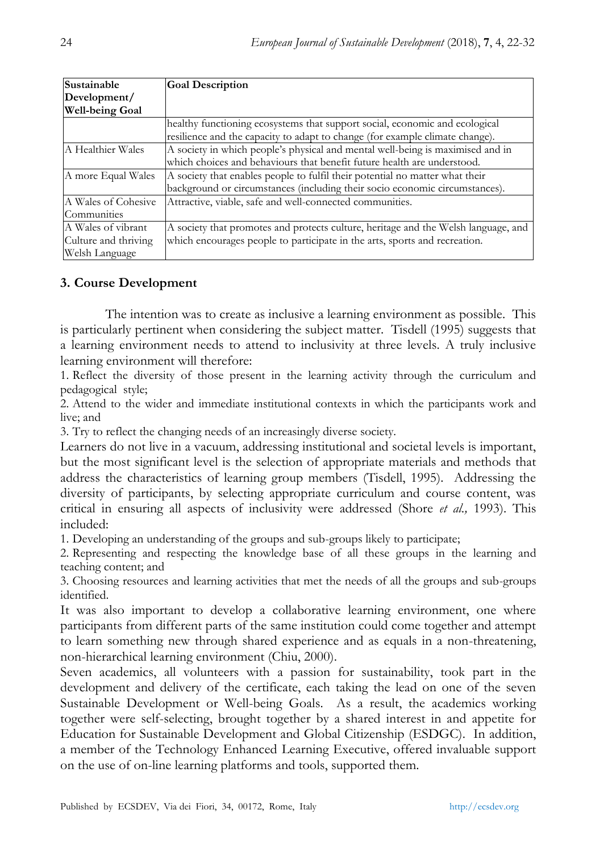| Sustainable            | <b>Goal Description</b>                                                            |
|------------------------|------------------------------------------------------------------------------------|
| Development/           |                                                                                    |
| <b>Well-being Goal</b> |                                                                                    |
|                        | healthy functioning ecosystems that support social, economic and ecological        |
|                        | resilience and the capacity to adapt to change (for example climate change).       |
| A Healthier Wales      | A society in which people's physical and mental well-being is maximised and in     |
|                        | which choices and behaviours that benefit future health are understood.            |
| A more Equal Wales     | A society that enables people to fulfil their potential no matter what their       |
|                        | background or circumstances (including their socio economic circumstances).        |
| A Wales of Cohesive    | Attractive, viable, safe and well-connected communities.                           |
| Communities            |                                                                                    |
| A Wales of vibrant     | A society that promotes and protects culture, heritage and the Welsh language, and |
| Culture and thriving   | which encourages people to participate in the arts, sports and recreation.         |
| Welsh Language         |                                                                                    |

# **3. Course Development**

The intention was to create as inclusive a learning environment as possible. This is particularly pertinent when considering the subject matter. Tisdell (1995) suggests that a learning environment needs to attend to inclusivity at three levels. A truly inclusive learning environment will therefore:

1. Reflect the diversity of those present in the learning activity through the curriculum and pedagogical style;

2. Attend to the wider and immediate institutional contexts in which the participants work and live; and

3. Try to reflect the changing needs of an increasingly diverse society.

Learners do not live in a vacuum, addressing institutional and societal levels is important, but the most significant level is the selection of appropriate materials and methods that address the characteristics of learning group members (Tisdell, 1995). Addressing the diversity of participants, by selecting appropriate curriculum and course content, was critical in ensuring all aspects of inclusivity were addressed (Shore *et al.,* 1993). This included:

1. Developing an understanding of the groups and sub-groups likely to participate;

2. Representing and respecting the knowledge base of all these groups in the learning and teaching content; and

3. Choosing resources and learning activities that met the needs of all the groups and sub-groups identified.

It was also important to develop a collaborative learning environment, one where participants from different parts of the same institution could come together and attempt to learn something new through shared experience and as equals in a non-threatening, non-hierarchical learning environment (Chiu, 2000).

Seven academics, all volunteers with a passion for sustainability, took part in the development and delivery of the certificate, each taking the lead on one of the seven Sustainable Development or Well-being Goals. As a result, the academics working together were self-selecting, brought together by a shared interest in and appetite for Education for Sustainable Development and Global Citizenship (ESDGC). In addition, a member of the Technology Enhanced Learning Executive, offered invaluable support on the use of on-line learning platforms and tools, supported them.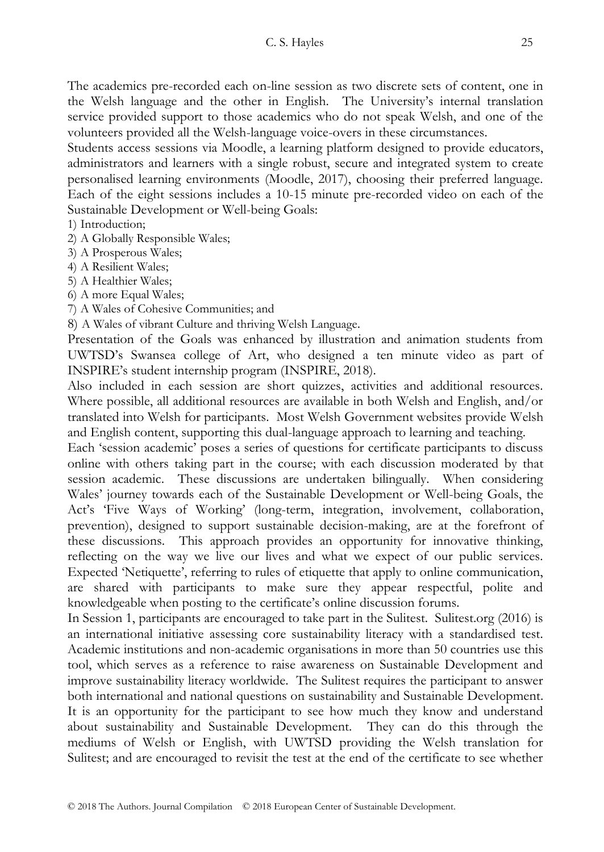The academics pre-recorded each on-line session as two discrete sets of content, one in the Welsh language and the other in English. The University"s internal translation service provided support to those academics who do not speak Welsh, and one of the volunteers provided all the Welsh-language voice-overs in these circumstances.

Students access sessions via Moodle, a learning platform designed to provide educators, administrators and learners with a single robust, secure and integrated system to create personalised learning environments (Moodle, 2017), choosing their preferred language. Each of the eight sessions includes a 10-15 minute pre-recorded video on each of the Sustainable Development or Well-being Goals:

# 1) Introduction;

- 2) A Globally Responsible Wales;
- 3) A Prosperous Wales;
- 4) A Resilient Wales;
- 5) A Healthier Wales;
- 6) A more Equal Wales;
- 7) A Wales of Cohesive Communities; and
- 8) A Wales of vibrant Culture and thriving Welsh Language.

Presentation of the Goals was enhanced by illustration and animation students from UWTSD"s Swansea college of Art, who designed a ten minute video as part of INSPIRE's student internship program (INSPIRE, 2018).

Also included in each session are short quizzes, activities and additional resources. Where possible, all additional resources are available in both Welsh and English, and/or translated into Welsh for participants. Most Welsh Government websites provide Welsh and English content, supporting this dual-language approach to learning and teaching.

Each "session academic" poses a series of questions for certificate participants to discuss online with others taking part in the course; with each discussion moderated by that session academic. These discussions are undertaken bilingually. When considering Wales" journey towards each of the Sustainable Development or Well-being Goals, the Act"s "Five Ways of Working" (long-term, integration, involvement, collaboration, prevention), designed to support sustainable decision-making, are at the forefront of these discussions. This approach provides an opportunity for innovative thinking, reflecting on the way we live our lives and what we expect of our public services. Expected 'Netiquette', referring to rules of etiquette that apply to online communication, are shared with participants to make sure they appear respectful, polite and knowledgeable when posting to the certificate's online discussion forums.

In Session 1, participants are encouraged to take part in the Sulitest. Sulitest.org (2016) is an international initiative assessing core sustainability literacy with a standardised test. Academic institutions and non-academic organisations in more than 50 countries use this tool, which serves as a reference to raise awareness on Sustainable Development and improve sustainability literacy worldwide. The Sulitest requires the participant to answer both international and national questions on sustainability and Sustainable Development. It is an opportunity for the participant to see how much they know and understand about sustainability and Sustainable Development. They can do this through the mediums of Welsh or English, with UWTSD providing the Welsh translation for Sulitest; and are encouraged to revisit the test at the end of the certificate to see whether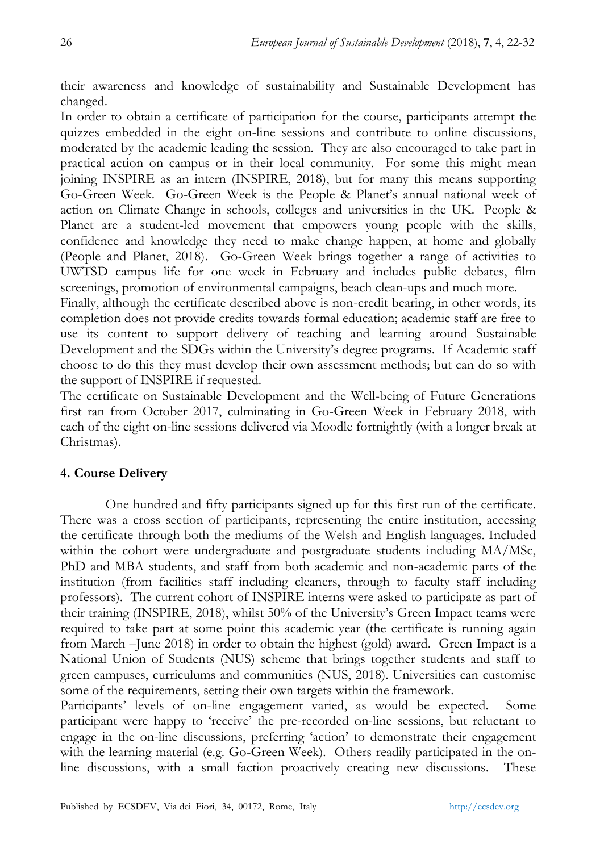their awareness and knowledge of sustainability and Sustainable Development has changed.

In order to obtain a certificate of participation for the course, participants attempt the quizzes embedded in the eight on-line sessions and contribute to online discussions, moderated by the academic leading the session. They are also encouraged to take part in practical action on campus or in their local community. For some this might mean joining INSPIRE as an intern (INSPIRE, 2018), but for many this means supporting Go-Green Week. Go-Green Week is the People & Planet"s annual national week of action on Climate Change in schools, colleges and universities in the UK. People & Planet are a student-led movement that empowers young people with the skills, confidence and knowledge they need to make change happen, at home and globally (People and Planet, 2018). Go-Green Week brings together a range of activities to UWTSD campus life for one week in February and includes public debates, film screenings, promotion of environmental campaigns, beach clean-ups and much more.

Finally, although the certificate described above is non-credit bearing, in other words, its completion does not provide credits towards formal education; academic staff are free to use its content to support delivery of teaching and learning around Sustainable Development and the SDGs within the University"s degree programs. If Academic staff choose to do this they must develop their own assessment methods; but can do so with the support of INSPIRE if requested.

The certificate on Sustainable Development and the Well-being of Future Generations first ran from October 2017, culminating in Go-Green Week in February 2018, with each of the eight on-line sessions delivered via Moodle fortnightly (with a longer break at Christmas).

# **4. Course Delivery**

One hundred and fifty participants signed up for this first run of the certificate. There was a cross section of participants, representing the entire institution, accessing the certificate through both the mediums of the Welsh and English languages. Included within the cohort were undergraduate and postgraduate students including MA/MSc, PhD and MBA students, and staff from both academic and non-academic parts of the institution (from facilities staff including cleaners, through to faculty staff including professors). The current cohort of INSPIRE interns were asked to participate as part of their training (INSPIRE, 2018), whilst 50% of the University"s Green Impact teams were required to take part at some point this academic year (the certificate is running again from March –June 2018) in order to obtain the highest (gold) award. Green Impact is a National Union of Students (NUS) scheme that brings together students and staff to green campuses, curriculums and communities (NUS, 2018). Universities can customise some of the requirements, setting their own targets within the framework.

Participants" levels of on-line engagement varied, as would be expected. Some participant were happy to "receive" the pre-recorded on-line sessions, but reluctant to engage in the on-line discussions, preferring "action" to demonstrate their engagement with the learning material (e.g. Go-Green Week). Others readily participated in the online discussions, with a small faction proactively creating new discussions. These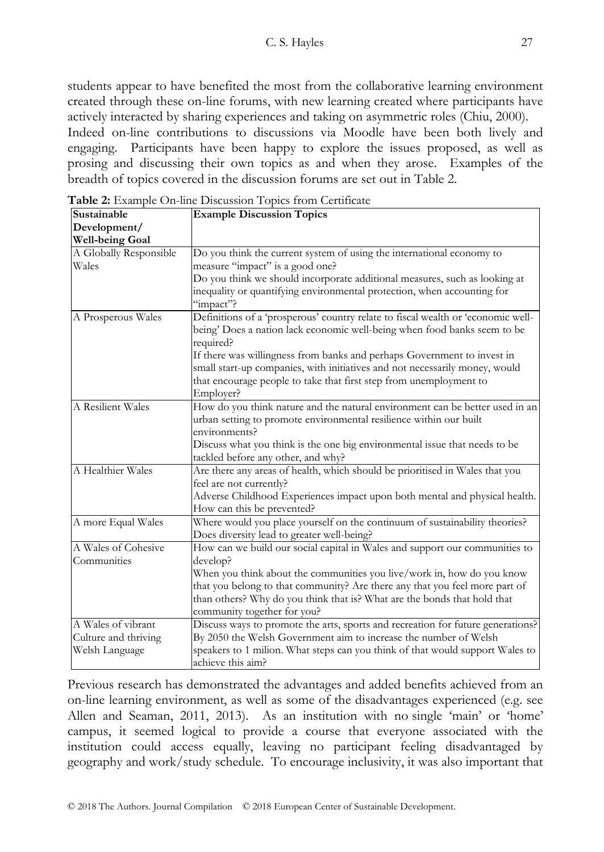students appear to have benefited the most from the collaborative learning environment created through these on-line forums, with new learning created where participants have actively interacted by sharing experiences and taking on asymmetric roles (Chiu, 2000). Indeed on-line contributions to discussions via Moodle have been both lively and engaging. Participants have been happy to explore the issues proposed, as well as prosing and discussing their own topics as and when they arose. Examples of the breadth of topics covered in the discussion forums are set out in Table 2.

| Sustainable            | <b>Example Discussion Topics</b>                                                 |  |
|------------------------|----------------------------------------------------------------------------------|--|
| Development/           |                                                                                  |  |
| <b>Well-being Goal</b> |                                                                                  |  |
| A Globally Responsible | Do you think the current system of using the international economy to            |  |
| Wales                  | measure "impact" is a good one?                                                  |  |
|                        | Do you think we should incorporate additional measures, such as looking at       |  |
|                        | inequality or quantifying environmental protection, when accounting for          |  |
|                        | "impact"?                                                                        |  |
| A Prosperous Wales     | Definitions of a 'prosperous' country relate to fiscal wealth or 'economic well- |  |
|                        | being' Does a nation lack economic well-being when food banks seem to be         |  |
|                        | required?                                                                        |  |
|                        | If there was willingness from banks and perhaps Government to invest in          |  |
|                        | small start-up companies, with initiatives and not necessarily money, would      |  |
|                        | that encourage people to take that first step from unemployment to               |  |
|                        | Employer?                                                                        |  |
| A Resilient Wales      | How do you think nature and the natural environment can be better used in an     |  |
|                        | urban setting to promote environmental resilience within our built               |  |
|                        | environments?                                                                    |  |
|                        | Discuss what you think is the one big environmental issue that needs to be       |  |
|                        | tackled before any other, and why?                                               |  |
| A Healthier Wales      | Are there any areas of health, which should be prioritised in Wales that you     |  |
|                        | feel are not currently?                                                          |  |
|                        | Adverse Childhood Experiences impact upon both mental and physical health.       |  |
|                        | How can this be prevented?                                                       |  |
| A more Equal Wales     | Where would you place yourself on the continuum of sustainability theories?      |  |
|                        | Does diversity lead to greater well-being?                                       |  |
| A Wales of Cohesive    | How can we build our social capital in Wales and support our communities to      |  |
| Communities            | develop?                                                                         |  |
|                        | When you think about the communities you live/work in, how do you know           |  |
|                        | that you belong to that community? Are there any that you feel more part of      |  |
|                        | than others? Why do you think that is? What are the bonds that hold that         |  |
|                        | community together for you?                                                      |  |
| A Wales of vibrant     | Discuss ways to promote the arts, sports and recreation for future generations?  |  |
| Culture and thriving   | By 2050 the Welsh Government aim to increase the number of Welsh                 |  |
| Welsh Language         | speakers to 1 milion. What steps can you think of that would support Wales to    |  |
|                        | achieve this aim?                                                                |  |

**Table 2:** Example On-line Discussion Topics from Certificate

Previous research has demonstrated the advantages and added benefits achieved from an on-line learning environment, as well as some of the disadvantages experienced (e.g. see Allen and Seaman, 2011, 2013). As an institution with no single "main" or "home" campus, it seemed logical to provide a course that everyone associated with the institution could access equally, leaving no participant feeling disadvantaged by geography and work/study schedule. To encourage inclusivity, it was also important that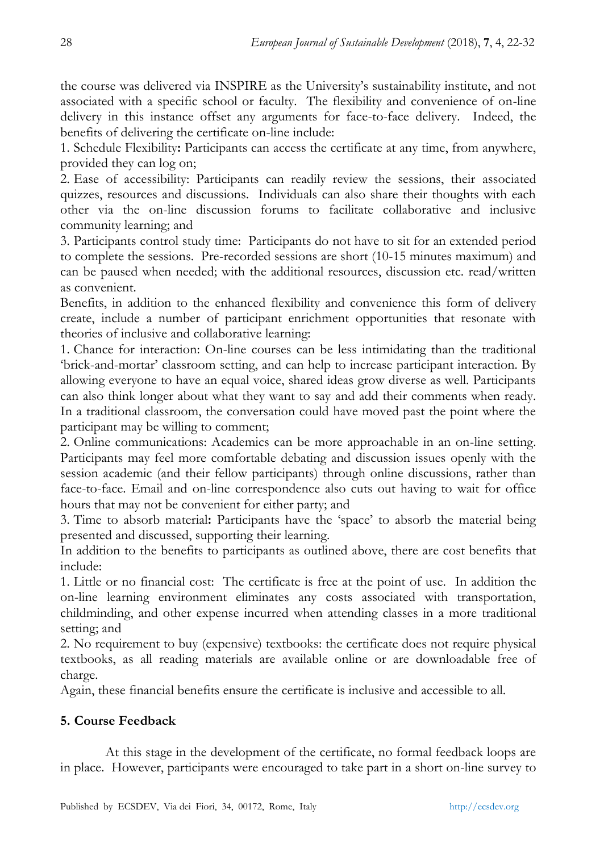the course was delivered via INSPIRE as the University"s sustainability institute, and not associated with a specific school or faculty. The flexibility and convenience of on-line delivery in this instance offset any arguments for face-to-face delivery. Indeed, the benefits of delivering the certificate on-line include:

1. Schedule Flexibility**:** Participants can access the certificate at any time, from anywhere, provided they can log on;

2. Ease of accessibility: Participants can readily review the sessions, their associated quizzes, resources and discussions. Individuals can also share their thoughts with each other via the on-line discussion forums to facilitate collaborative and inclusive community learning; and

3. Participants control study time: Participants do not have to sit for an extended period to complete the sessions. Pre-recorded sessions are short (10-15 minutes maximum) and can be paused when needed; with the additional resources, discussion etc. read/written as convenient.

Benefits, in addition to the enhanced flexibility and convenience this form of delivery create, include a number of participant enrichment opportunities that resonate with theories of inclusive and collaborative learning:

1. Chance for interaction: On-line courses can be less intimidating than the traditional "brick-and-mortar" classroom setting, and can help to increase participant interaction. By allowing everyone to have an equal voice, shared ideas grow diverse as well. Participants can also think longer about what they want to say and add their comments when ready. In a traditional classroom, the conversation could have moved past the point where the participant may be willing to comment;

2. Online communications: Academics can be more approachable in an on-line setting. Participants may feel more comfortable debating and discussion issues openly with the session academic (and their fellow participants) through online discussions, rather than face-to-face. Email and on-line correspondence also cuts out having to wait for office hours that may not be convenient for either party; and

3. Time to absorb material**:** Participants have the "space" to absorb the material being presented and discussed, supporting their learning.

In addition to the benefits to participants as outlined above, there are cost benefits that include:

1. Little or no financial cost: The certificate is free at the point of use.In addition the on-line learning environment eliminates any costs associated with transportation, childminding, and other expense incurred when attending classes in a more traditional setting; and

2. No requirement to buy (expensive) textbooks: the certificate does not require physical textbooks, as all reading materials are available online or are downloadable free of charge.

Again, these financial benefits ensure the certificate is inclusive and accessible to all.

# **5. Course Feedback**

At this stage in the development of the certificate, no formal feedback loops are in place. However, participants were encouraged to take part in a short on-line survey to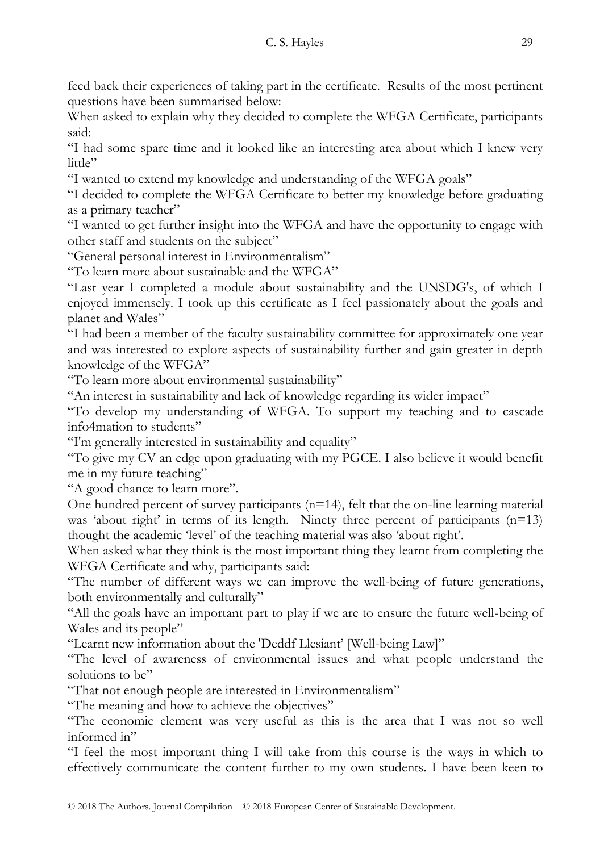feed back their experiences of taking part in the certificate. Results of the most pertinent questions have been summarised below:

When asked to explain why they decided to complete the WFGA Certificate, participants said:

"I had some spare time and it looked like an interesting area about which I knew very  $l$ ittle"

"I wanted to extend my knowledge and understanding of the WFGA goals"

"I decided to complete the WFGA Certificate to better my knowledge before graduating as a primary teacher"

"I wanted to get further insight into the WFGA and have the opportunity to engage with other staff and students on the subject"

"General personal interest in Environmentalism"

"To learn more about sustainable and the WFGA"

"Last year I completed a module about sustainability and the UNSDG's, of which I enjoyed immensely. I took up this certificate as I feel passionately about the goals and planet and Wales"

"I had been a member of the faculty sustainability committee for approximately one year and was interested to explore aspects of sustainability further and gain greater in depth knowledge of the WFGA"

"To learn more about environmental sustainability"

"An interest in sustainability and lack of knowledge regarding its wider impact"

"To develop my understanding of WFGA. To support my teaching and to cascade info4mation to students"

"I'm generally interested in sustainability and equality"

"To give my CV an edge upon graduating with my PGCE. I also believe it would benefit me in my future teaching"

"A good chance to learn more".

One hundred percent of survey participants  $(n=14)$ , felt that the on-line learning material was 'about right' in terms of its length. Ninety three percent of participants  $(n=13)$ thought the academic "level" of the teaching material was also "about right".

When asked what they think is the most important thing they learnt from completing the WFGA Certificate and why, participants said:

"The number of different ways we can improve the well-being of future generations, both environmentally and culturally"

"All the goals have an important part to play if we are to ensure the future well-being of Wales and its people"

"Learnt new information about the 'Deddf Llesiant" [Well-being Law]"

"The level of awareness of environmental issues and what people understand the solutions to be"

"That not enough people are interested in Environmentalism"

"The meaning and how to achieve the objectives"

"The economic element was very useful as this is the area that I was not so well informed in"

"I feel the most important thing I will take from this course is the ways in which to effectively communicate the content further to my own students. I have been keen to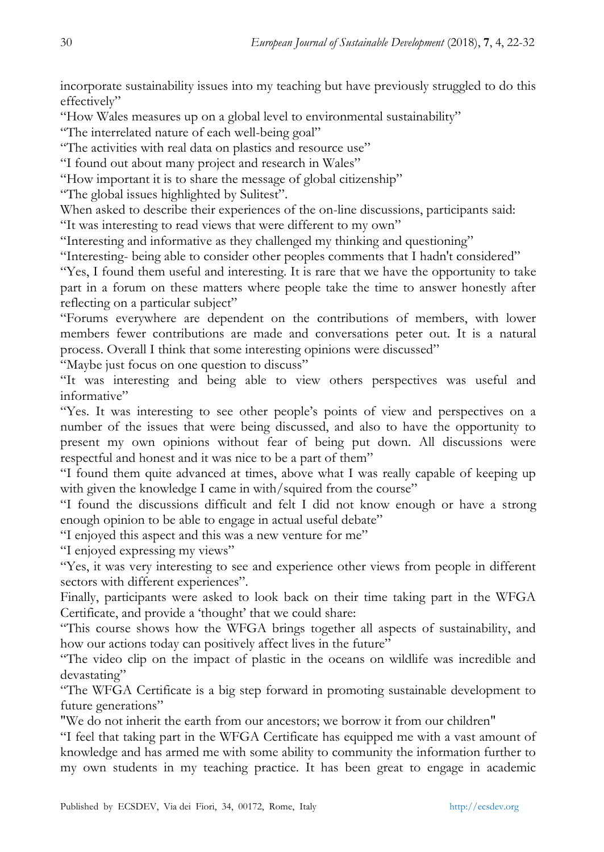incorporate sustainability issues into my teaching but have previously struggled to do this effectively"

"How Wales measures up on a global level to environmental sustainability"

"The interrelated nature of each well-being goal"

"The activities with real data on plastics and resource use"

"I found out about many project and research in Wales"

"How important it is to share the message of global citizenship"

"The global issues highlighted by Sulitest".

When asked to describe their experiences of the on-line discussions, participants said:

"It was interesting to read views that were different to my own"

"Interesting and informative as they challenged my thinking and questioning"

"Interesting- being able to consider other peoples comments that I hadn't considered"

"Yes, I found them useful and interesting. It is rare that we have the opportunity to take part in a forum on these matters where people take the time to answer honestly after reflecting on a particular subject"

"Forums everywhere are dependent on the contributions of members, with lower members fewer contributions are made and conversations peter out. It is a natural process. Overall I think that some interesting opinions were discussed"

"Maybe just focus on one question to discuss"

"It was interesting and being able to view others perspectives was useful and informative"

"Yes. It was interesting to see other people"s points of view and perspectives on a number of the issues that were being discussed, and also to have the opportunity to present my own opinions without fear of being put down. All discussions were respectful and honest and it was nice to be a part of them"

"I found them quite advanced at times, above what I was really capable of keeping up with given the knowledge I came in with/squired from the course"

"I found the discussions difficult and felt I did not know enough or have a strong enough opinion to be able to engage in actual useful debate"

"I enjoyed this aspect and this was a new venture for me"

"I enjoyed expressing my views"

"Yes, it was very interesting to see and experience other views from people in different sectors with different experiences".

Finally, participants were asked to look back on their time taking part in the WFGA Certificate, and provide a 'thought' that we could share:

"This course shows how the WFGA brings together all aspects of sustainability, and how our actions today can positively affect lives in the future"

"The video clip on the impact of plastic in the oceans on wildlife was incredible and devastating"

"The WFGA Certificate is a big step forward in promoting sustainable development to future generations"

"We do not inherit the earth from our ancestors; we borrow it from our children"

"I feel that taking part in the WFGA Certificate has equipped me with a vast amount of knowledge and has armed me with some ability to community the information further to my own students in my teaching practice. It has been great to engage in academic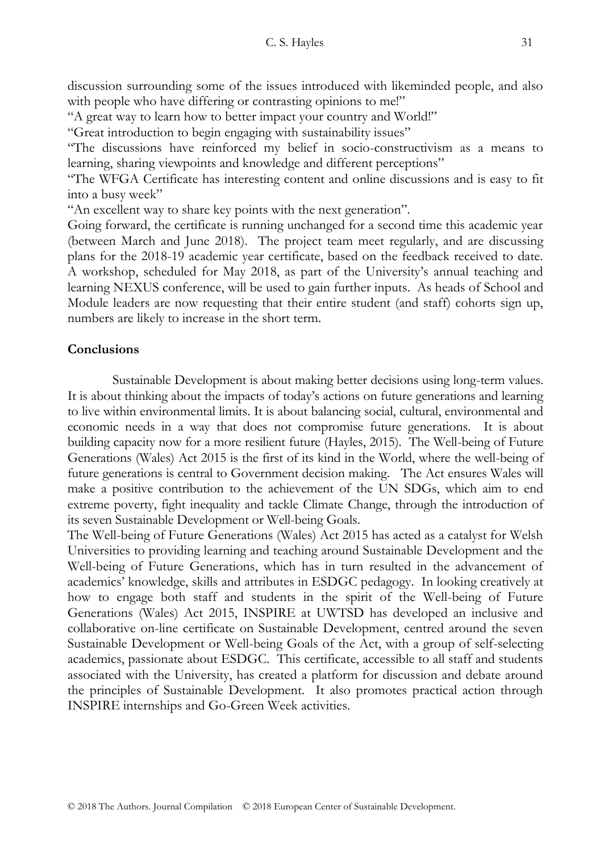discussion surrounding some of the issues introduced with likeminded people, and also with people who have differing or contrasting opinions to me!"

"A great way to learn how to better impact your country and World!"

"Great introduction to begin engaging with sustainability issues"

"The discussions have reinforced my belief in socio-constructivism as a means to learning, sharing viewpoints and knowledge and different perceptions"

"The WFGA Certificate has interesting content and online discussions and is easy to fit into a busy week"

"An excellent way to share key points with the next generation".

Going forward, the certificate is running unchanged for a second time this academic year (between March and June 2018). The project team meet regularly, and are discussing plans for the 2018-19 academic year certificate, based on the feedback received to date. A workshop, scheduled for May 2018, as part of the University"s annual teaching and learning NEXUS conference, will be used to gain further inputs. As heads of School and Module leaders are now requesting that their entire student (and staff) cohorts sign up, numbers are likely to increase in the short term.

## **Conclusions**

Sustainable Development is about making better decisions using long-term values. It is about thinking about the impacts of today"s actions on future generations and learning to live within environmental limits. It is about balancing social, cultural, environmental and economic needs in a way that does not compromise future generations. It is about building capacity now for a more resilient future (Hayles, 2015). The Well-being of Future Generations (Wales) Act 2015 is the first of its kind in the World, where the well-being of future generations is central to Government decision making. The Act ensures Wales will make a positive contribution to the achievement of the UN SDGs, which aim to end extreme poverty, fight inequality and tackle Climate Change, through the introduction of its seven Sustainable Development or Well-being Goals.

The Well-being of Future Generations (Wales) Act 2015 has acted as a catalyst for Welsh Universities to providing learning and teaching around Sustainable Development and the Well-being of Future Generations, which has in turn resulted in the advancement of academics" knowledge, skills and attributes in ESDGC pedagogy. In looking creatively at how to engage both staff and students in the spirit of the Well-being of Future Generations (Wales) Act 2015, INSPIRE at UWTSD has developed an inclusive and collaborative on-line certificate on Sustainable Development, centred around the seven Sustainable Development or Well-being Goals of the Act, with a group of self-selecting academics, passionate about ESDGC. This certificate, accessible to all staff and students associated with the University, has created a platform for discussion and debate around the principles of Sustainable Development. It also promotes practical action through INSPIRE internships and Go-Green Week activities.